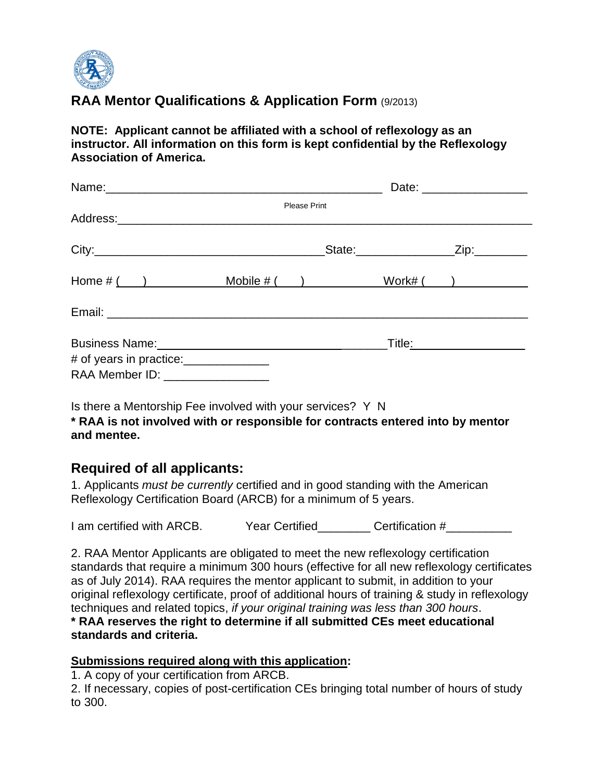

## **RAA Mentor Qualifications & Application Form** (9/2013)

**NOTE: Applicant cannot be affiliated with a school of reflexology as an instructor. All information on this form is kept confidential by the Reflexology Association of America.**

|                                       | Date: _____________________ |  |                         |                                        |
|---------------------------------------|-----------------------------|--|-------------------------|----------------------------------------|
|                                       | <b>Please Print</b>         |  |                         |                                        |
|                                       |                             |  |                         |                                        |
|                                       |                             |  | State:_________________ | _Zip:_________                         |
| $Home # ( )$ Mobile # () Work# ()     |                             |  |                         |                                        |
|                                       |                             |  |                         |                                        |
|                                       |                             |  |                         | _Title <u>:___________________</u> ___ |
| # of years in practice:______________ |                             |  |                         |                                        |
| RAA Member ID: ________________       |                             |  |                         |                                        |

Is there a Mentorship Fee involved with your services? Y N **\* RAA is not involved with or responsible for contracts entered into by mentor and mentee.**

## **Required of all applicants:**

1. Applicants *must be currently* certified and in good standing with the American Reflexology Certification Board (ARCB) for a minimum of 5 years.

I am certified with ARCB. Year Certified Certification #

2. RAA Mentor Applicants are obligated to meet the new reflexology certification standards that require a minimum 300 hours (effective for all new reflexology certificates as of July 2014). RAA requires the mentor applicant to submit, in addition to your original reflexology certificate, proof of additional hours of training & study in reflexology techniques and related topics, *if your original training was less than 300 hours*. **\* RAA reserves the right to determine if all submitted CEs meet educational standards and criteria.** 

**Submissions required along with this application:** 1. A copy of your certification from ARCB.

2. If necessary, copies of post-certification CEs bringing total number of hours of study to 300.